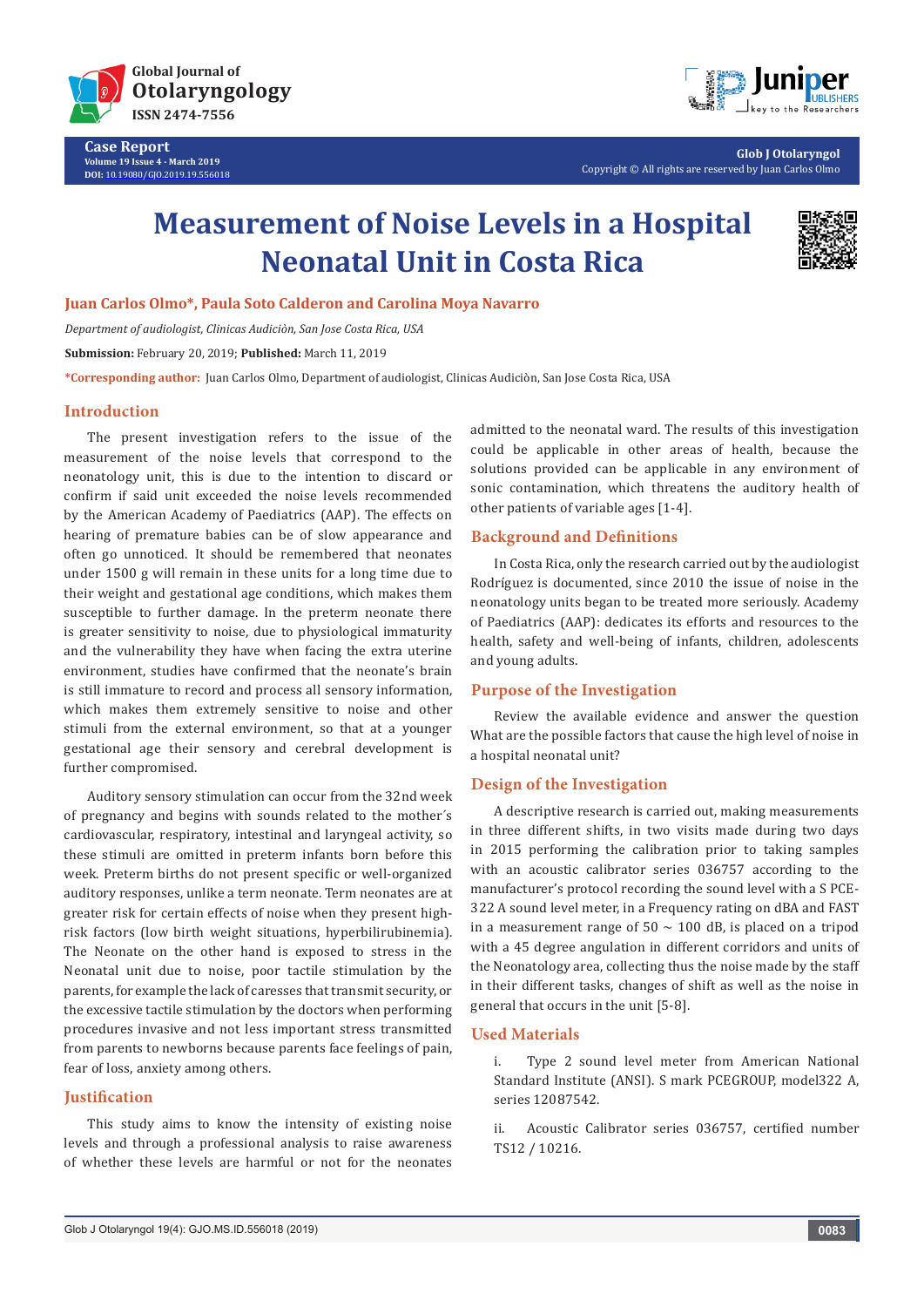

**Case Report Volume 19 Issue 4 - March 2019 DOI:** [10.19080/GJO.2019.19.556018](http://dx.doi.org/10.19080/GJO.2019.19.556018)



**Glob J Otolaryngol** Copyright © All rights are reserved by Juan Carlos Olmo

# **Measurement of Noise Levels in a Hospital Neonatal Unit in Costa Rica**



**Juan Carlos Olmo\*, Paula Soto Calderon and Carolina Moya Navarro**

*Department of audiologist, Clinicas Audiciòn, San Jose Costa Rica, USA*

**Submission:** February 20, 2019; **Published:** March 11, 2019

**\*Corresponding author:** Juan Carlos Olmo, Department of audiologist, Clinicas Audiciòn, San Jose Costa Rica, USA

### **Introduction**

The present investigation refers to the issue of the measurement of the noise levels that correspond to the neonatology unit, this is due to the intention to discard or confirm if said unit exceeded the noise levels recommended by the American Academy of Paediatrics (AAP). The effects on hearing of premature babies can be of slow appearance and often go unnoticed. It should be remembered that neonates under 1500 g will remain in these units for a long time due to their weight and gestational age conditions, which makes them susceptible to further damage. In the preterm neonate there is greater sensitivity to noise, due to physiological immaturity and the vulnerability they have when facing the extra uterine environment, studies have confirmed that the neonate's brain is still immature to record and process all sensory information, which makes them extremely sensitive to noise and other stimuli from the external environment, so that at a younger gestational age their sensory and cerebral development is further compromised.

Auditory sensory stimulation can occur from the 32nd week of pregnancy and begins with sounds related to the mother´s cardiovascular, respiratory, intestinal and laryngeal activity, so these stimuli are omitted in preterm infants born before this week. Preterm births do not present specific or well-organized auditory responses, unlike a term neonate. Term neonates are at greater risk for certain effects of noise when they present highrisk factors (low birth weight situations, hyperbilirubinemia). The Neonate on the other hand is exposed to stress in the Neonatal unit due to noise, poor tactile stimulation by the parents, for example the lack of caresses that transmit security, or the excessive tactile stimulation by the doctors when performing procedures invasive and not less important stress transmitted from parents to newborns because parents face feelings of pain, fear of loss, anxiety among others.

## **Justification**

This study aims to know the intensity of existing noise levels and through a professional analysis to raise awareness of whether these levels are harmful or not for the neonates

admitted to the neonatal ward. The results of this investigation could be applicable in other areas of health, because the solutions provided can be applicable in any environment of sonic contamination, which threatens the auditory health of other patients of variable ages [1-4].

### **Background and Definitions**

In Costa Rica, only the research carried out by the audiologist Rodríguez is documented, since 2010 the issue of noise in the neonatology units began to be treated more seriously. Academy of Paediatrics (AAP): dedicates its efforts and resources to the health, safety and well-being of infants, children, adolescents and young adults.

## **Purpose of the Investigation**

Review the available evidence and answer the question What are the possible factors that cause the high level of noise in a hospital neonatal unit?

## **Design of the Investigation**

A descriptive research is carried out, making measurements in three different shifts, in two visits made during two days in 2015 performing the calibration prior to taking samples with an acoustic calibrator series 036757 according to the manufacturer's protocol recording the sound level with a S PCE-322 A sound level meter, in a Frequency rating on dBA and FAST in a measurement range of  $50 \sim 100$  dB, is placed on a tripod with a 45 degree angulation in different corridors and units of the Neonatology area, collecting thus the noise made by the staff in their different tasks, changes of shift as well as the noise in general that occurs in the unit [5-8].

#### **Used Materials**

i. Type 2 sound level meter from American National Standard Institute (ANSI). S mark PCEGROUP, model322 A, series 12087542.

ii. Acoustic Calibrator series 036757, certified number TS12 / 10216.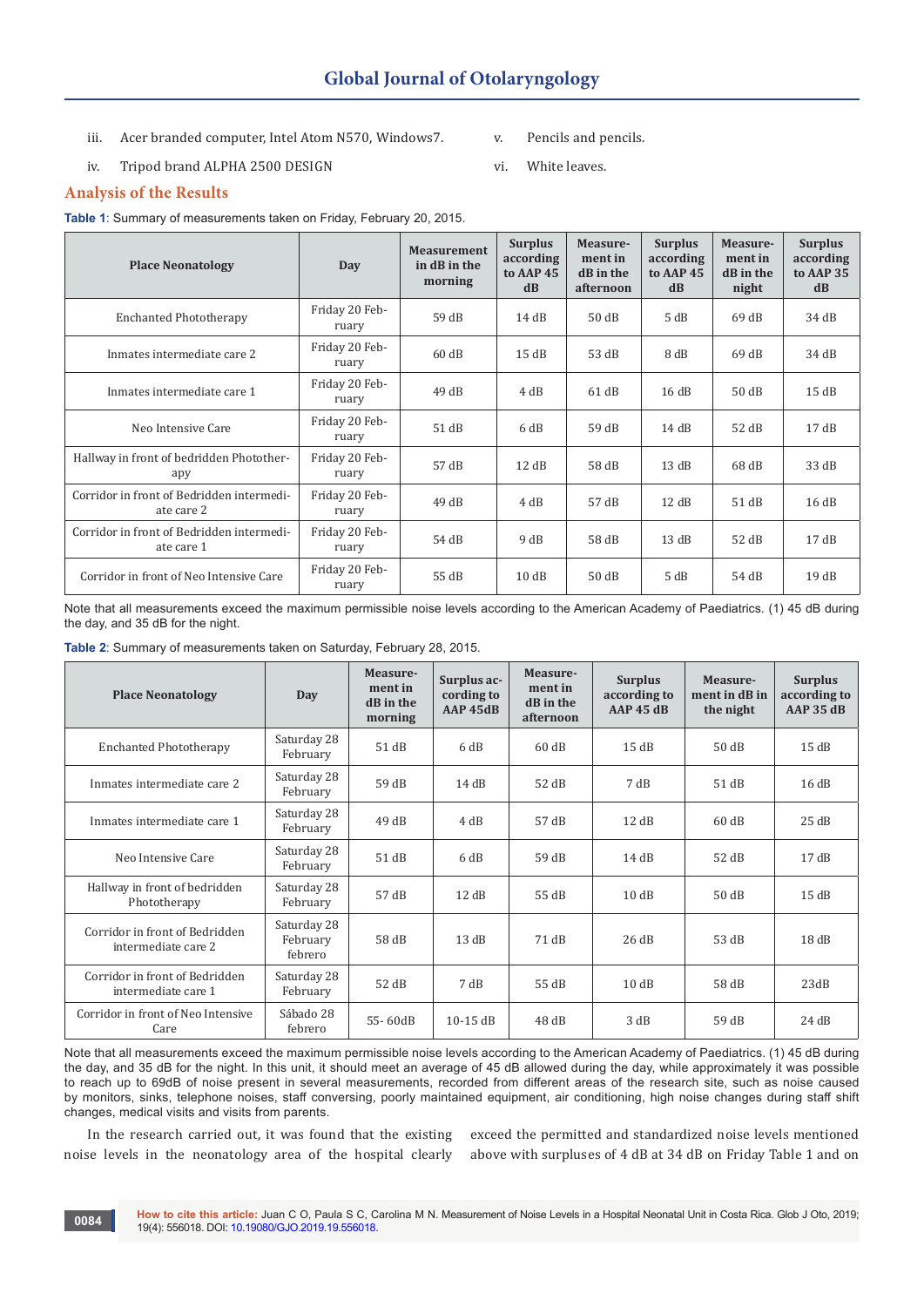- iii. Acer branded computer, Intel Atom N570, Windows7.
- iv. Tripod brand ALPHA 2500 DESIGN
- v. Pencils and pencils.
- vi. White leaves.

## **Analysis of the Results**

**Table 1**: Summary of measurements taken on Friday, February 20, 2015.

| <b>Place Neonatology</b>                                | Day                     | <b>Measurement</b><br>in dB in the<br>morning | <b>Surplus</b><br>according<br>to AAP 45<br>dB | Measure-<br>ment in<br>dB in the<br>afternoon | <b>Surplus</b><br>according<br>to AAP 45<br>dB | Measure-<br>ment in<br>dB in the<br>night | <b>Surplus</b><br>according<br>to AAP 35<br>dB |
|---------------------------------------------------------|-------------------------|-----------------------------------------------|------------------------------------------------|-----------------------------------------------|------------------------------------------------|-------------------------------------------|------------------------------------------------|
| <b>Enchanted Phototherapy</b>                           | Friday 20 Feb-<br>ruary | 59 dB                                         | 14dB                                           | 50dB                                          | 5 dB                                           | 69dB                                      | 34 dB                                          |
| Inmates intermediate care 2                             | Friday 20 Feb-<br>ruary | 60dB                                          | 15dB                                           | 53 dB                                         | 8 dB                                           | 69dB                                      | 34 dB                                          |
| Inmates intermediate care 1                             | Friday 20 Feb-<br>ruary | 49dB                                          | 4 dB                                           | 61dB                                          | 16dB                                           | 50 dB                                     | 15dB                                           |
| Neo Intensive Care                                      | Friday 20 Feb-<br>ruary | 51 dB                                         | 6 dB                                           | 59 dB                                         | 14dB                                           | 52 dB                                     | 17dB                                           |
| Hallway in front of bedridden Photother-<br>apy         | Friday 20 Feb-<br>ruary | 57 dB                                         | 12dB                                           | 58 dB                                         | 13dB                                           | 68 dB                                     | 33 dB                                          |
| Corridor in front of Bedridden intermedi-<br>ate care 2 | Friday 20 Feb-<br>ruary | 49dB                                          | 4 dB                                           | 57 dB                                         | 12dB                                           | 51 dB                                     | 16dB                                           |
| Corridor in front of Bedridden intermedi-<br>ate care 1 | Friday 20 Feb-<br>ruary | 54 dB                                         | 9 dB                                           | 58 dB                                         | 13dB                                           | 52 dB                                     | 17dB                                           |
| Corridor in front of Neo Intensive Care                 | Friday 20 Feb-<br>ruary | 55 dB                                         | 10dB                                           | 50dB                                          | 5 dB                                           | 54 dB                                     | 19dB                                           |

Note that all measurements exceed the maximum permissible noise levels according to the American Academy of Paediatrics. (1) 45 dB during the day, and 35 dB for the night.

| <b>Place Neonatology</b>                              | Day                                | Measure-<br>ment in<br>dB in the<br>morning | Surplus ac-<br>cording to<br>AAP 45dB | Measure-<br>ment in<br>dB in the<br>afternoon | <b>Surplus</b><br>according to<br><b>AAP 45 dB</b> | Measure-<br>ment in dB in<br>the night | <b>Surplus</b><br>according to<br><b>AAP 35 dB</b> |
|-------------------------------------------------------|------------------------------------|---------------------------------------------|---------------------------------------|-----------------------------------------------|----------------------------------------------------|----------------------------------------|----------------------------------------------------|
| <b>Enchanted Phototherapy</b>                         | Saturday 28<br>February            | 51 dB                                       | 6 dB                                  | 60dB                                          | 15dB                                               | 50dB                                   | 15dB                                               |
| Inmates intermediate care 2                           | Saturday 28<br>February            | 59 dB                                       | 14dB                                  | 52 dB                                         | 7 dB                                               | 51dB                                   | 16dB                                               |
| Inmates intermediate care 1                           | Saturday 28<br>February            | 49dB                                        | 4 dB                                  | 57 dB                                         | 12dB                                               | 60 dB                                  | 25dB                                               |
| Neo Intensive Care                                    | Saturday 28<br>February            | 51 dB                                       | 6 dB                                  | 59 dB                                         | 14dB                                               | 52 dB                                  | 17dB                                               |
| Hallway in front of bedridden<br>Phototherapy         | Saturday 28<br>February            | 57 dB                                       | 12 dB                                 | 55 dB                                         | 10dB                                               | 50dB                                   | 15dB                                               |
| Corridor in front of Bedridden<br>intermediate care 2 | Saturday 28<br>February<br>febrero | 58 dB                                       | 13dB                                  | 71 dB                                         | 26dB                                               | 53 dB                                  | 18dB                                               |
| Corridor in front of Bedridden<br>intermediate care 1 | Saturday 28<br>February            | 52 dB                                       | 7 dB                                  | 55 dB                                         | 10dB                                               | 58 dB                                  | 23dB                                               |
| Corridor in front of Neo Intensive<br>Care            | Sábado 28<br>febrero               | 55-60dB                                     | $10-15$ dB                            | 48dB                                          | 3 dB                                               | 59 dB                                  | 24 dB                                              |

Note that all measurements exceed the maximum permissible noise levels according to the American Academy of Paediatrics. (1) 45 dB during the day, and 35 dB for the night. In this unit, it should meet an average of 45 dB allowed during the day, while approximately it was possible to reach up to 69dB of noise present in several measurements, recorded from different areas of the research site, such as noise caused by monitors, sinks, telephone noises, staff conversing, poorly maintained equipment, air conditioning, high noise changes during staff shift changes, medical visits and visits from parents.

noise levels in the neonatology area of the hospital clearly

**0084**

In the research carried out, it was found that the existing exceed the permitted and standardized noise levels mentioned above with surpluses of 4 dB at 34 dB on Friday Table 1 and on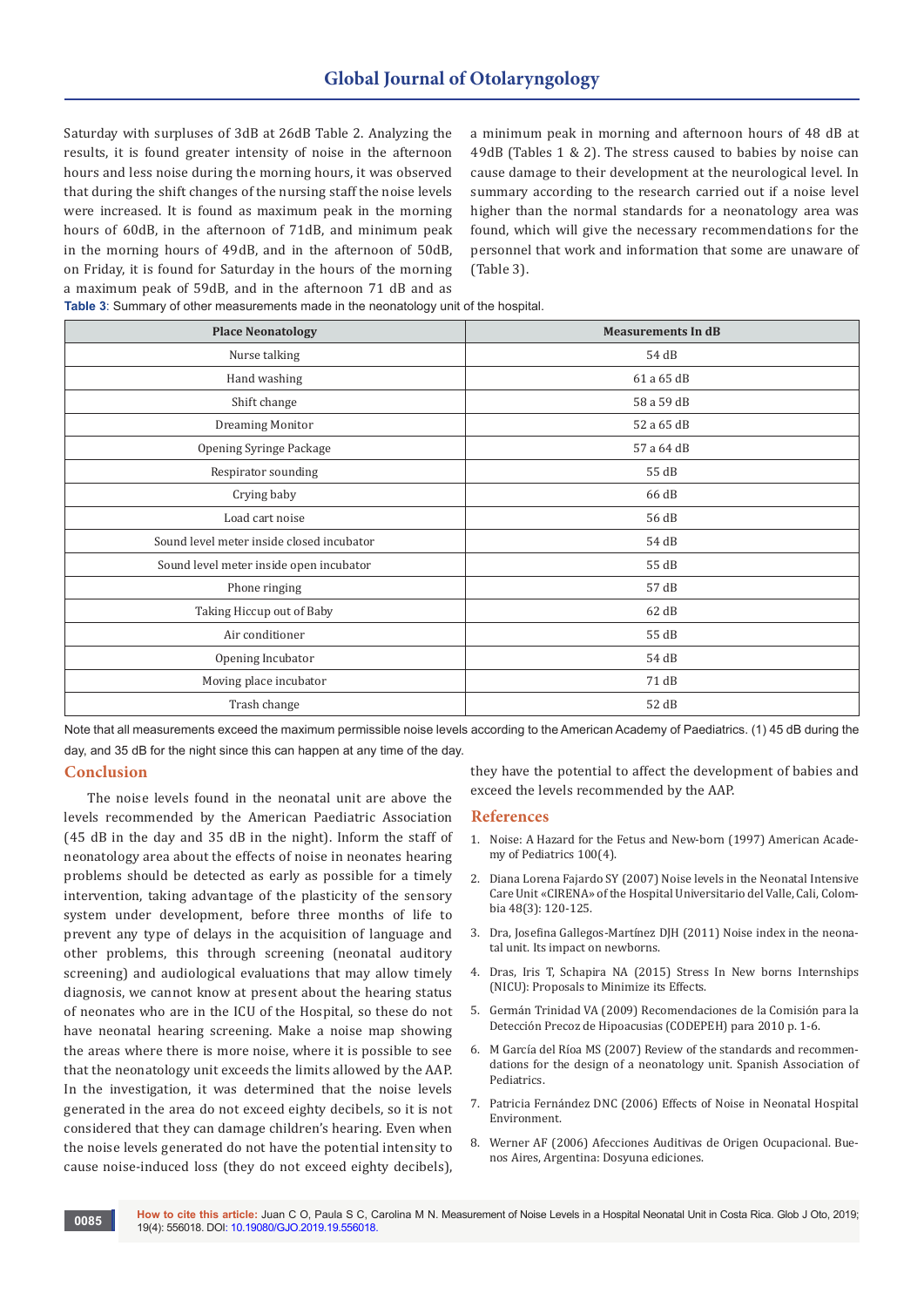Saturday with surpluses of 3dB at 26dB Table 2. Analyzing the results, it is found greater intensity of noise in the afternoon hours and less noise during the morning hours, it was observed that during the shift changes of the nursing staff the noise levels were increased. It is found as maximum peak in the morning hours of 60dB, in the afternoon of 71dB, and minimum peak in the morning hours of 49dB, and in the afternoon of 50dB, on Friday, it is found for Saturday in the hours of the morning a maximum peak of 59dB, and in the afternoon 71 dB and as

a minimum peak in morning and afternoon hours of 48 dB at 49dB (Tables 1 & 2). The stress caused to babies by noise can cause damage to their development at the neurological level. In summary according to the research carried out if a noise level higher than the normal standards for a neonatology area was found, which will give the necessary recommendations for the personnel that work and information that some are unaware of (Table 3).

| <b>Place Neonatology</b>                  | <b>Measurements In dB</b> |  |  |  |  |
|-------------------------------------------|---------------------------|--|--|--|--|
| Nurse talking                             | 54 dB                     |  |  |  |  |
| Hand washing                              | 61 a 65 dB                |  |  |  |  |
| Shift change                              | 58 a 59 dB                |  |  |  |  |
| Dreaming Monitor                          | 52 a 65 dB                |  |  |  |  |
| Opening Syringe Package                   | 57 a 64 dB                |  |  |  |  |
| Respirator sounding                       | 55 dB                     |  |  |  |  |
| Crying baby                               | 66 dB                     |  |  |  |  |
| Load cart noise                           | 56 dB                     |  |  |  |  |
| Sound level meter inside closed incubator | 54 dB                     |  |  |  |  |
| Sound level meter inside open incubator   | 55 dB                     |  |  |  |  |
| Phone ringing                             | 57 dB                     |  |  |  |  |
| Taking Hiccup out of Baby                 | 62 dB                     |  |  |  |  |
| Air conditioner                           | 55 dB                     |  |  |  |  |
| Opening Incubator                         | 54 dB                     |  |  |  |  |
| Moving place incubator                    | 71 dB                     |  |  |  |  |
| Trash change                              | 52 dB                     |  |  |  |  |

**Table 3**: Summary of other measurements made in the neonatology unit of the hospital.

Note that all measurements exceed the maximum permissible noise levels according to the American Academy of Paediatrics. (1) 45 dB during the day, and 35 dB for the night since this can happen at any time of the day.

#### **Conclusion**

The noise levels found in the neonatal unit are above the levels recommended by the American Paediatric Association (45 dB in the day and 35 dB in the night). Inform the staff of neonatology area about the effects of noise in neonates hearing problems should be detected as early as possible for a timely intervention, taking advantage of the plasticity of the sensory system under development, before three months of life to prevent any type of delays in the acquisition of language and other problems, this through screening (neonatal auditory screening) and audiological evaluations that may allow timely diagnosis, we cannot know at present about the hearing status of neonates who are in the ICU of the Hospital, so these do not have neonatal hearing screening. Make a noise map showing the areas where there is more noise, where it is possible to see that the neonatology unit exceeds the limits allowed by the AAP. In the investigation, it was determined that the noise levels generated in the area do not exceed eighty decibels, so it is not considered that they can damage children's hearing. Even when the noise levels generated do not have the potential intensity to cause noise-induced loss (they do not exceed eighty decibels),

they have the potential to affect the development of babies and exceed the levels recommended by the AAP.

#### **References**

- 1. [Noise: A Hazard for the Fetus and New-born \(1997\) American Acade](https://pediatrics.aappublications.org/content/100/4/724)[my of Pediatrics 100\(4\).](https://pediatrics.aappublications.org/content/100/4/724)
- 2. Diana Lorena Fajardo SY (2007) Noise levels in the Neonatal Intensive Care Unit «CIRENA» of the Hospital Universitario del Valle, Cali, Colombia 48(3): 120-125.
- 3. Dra, Josefina Gallegos-Martínez DJH (2011) Noise index in the neonatal unit. Its impact on newborns.
- 4. Dras, Iris T, Schapira NA (2015) Stress In New borns Internships (NICU): Proposals to Minimize its Effects.
- 5. [Germán Trinidad VA \(2009\) Recomendaciones de la Comisión para la](https://dialnet.unirioja.es/servlet/articulo?codigo=3205446)  [Detección Precoz de Hipoacusias \(CODEPEH\) para 2010 p. 1-6.](https://dialnet.unirioja.es/servlet/articulo?codigo=3205446)
- 6. M García del Ríoa MS (2007) Review of the standards and recommendations for the design of a neonatology unit. Spanish Association of **Pediatrics**
- 7. Patricia Fernández DNC (2006) Effects of Noise in Neonatal Hospital Environment.
- 8. Werner AF (2006) Afecciones Auditivas de Origen Ocupacional. Buenos Aires, Argentina: Dosyuna ediciones.